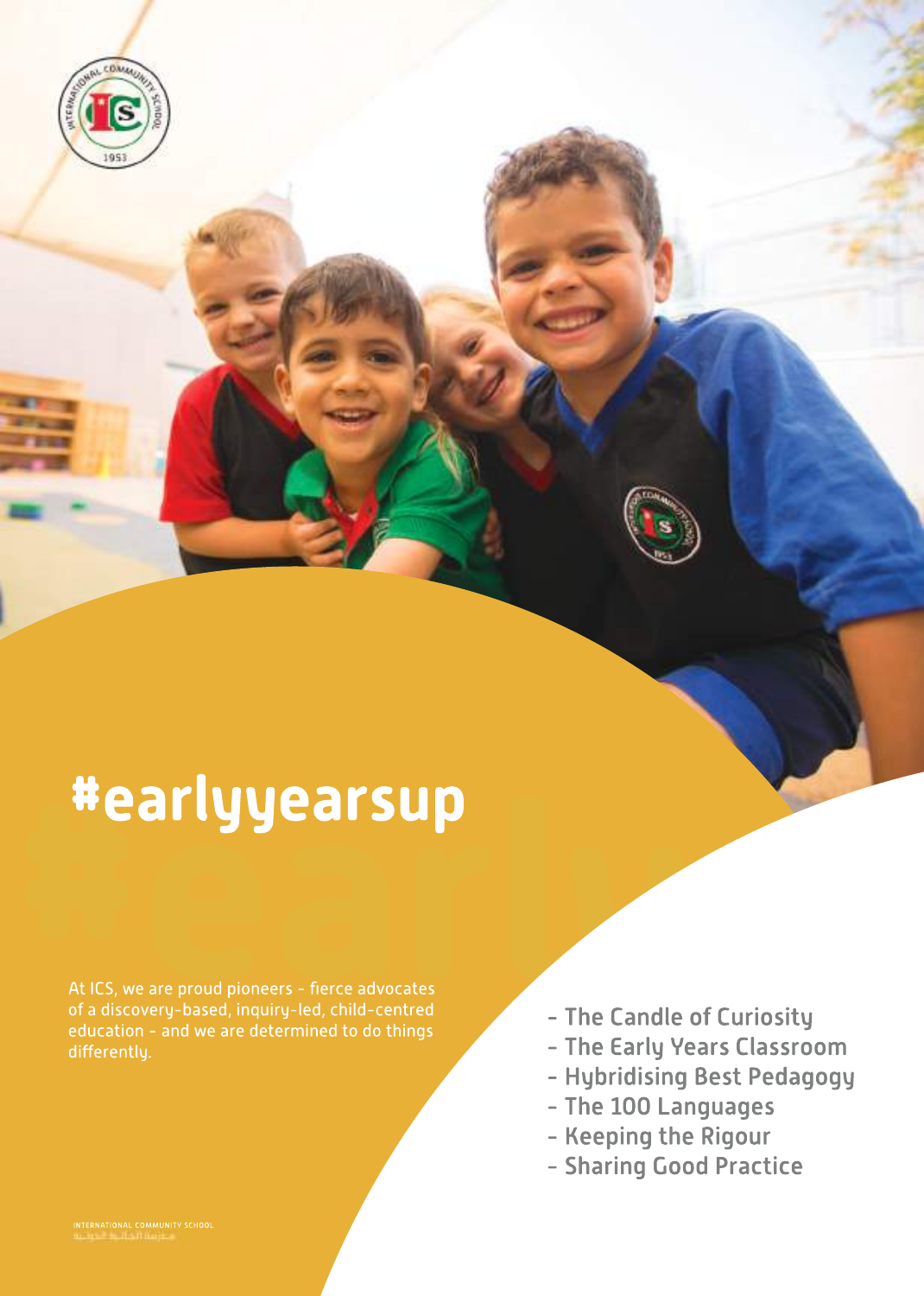

# **#earlyyearsup**<br>At ICS, we are proud pioneers - fierce advocates<br>of a discovery-based, inquiry-led, child-centred<br>of a discovery-based, inquiry-led, child-centred<br>- The Candle of Curiosity **#earlyyearsup**

At ICS, we are proud pioneers - fierce advocates of a discovery-based, inquiry-led, child-centred education - and we are determined to do things differently.

- The Candle of Curiosity

- The Early Years Classroom
- Hybridising Best Pedagogy
- The 100 Languages
- Keeping the Rigour
- Sharing Good Practice